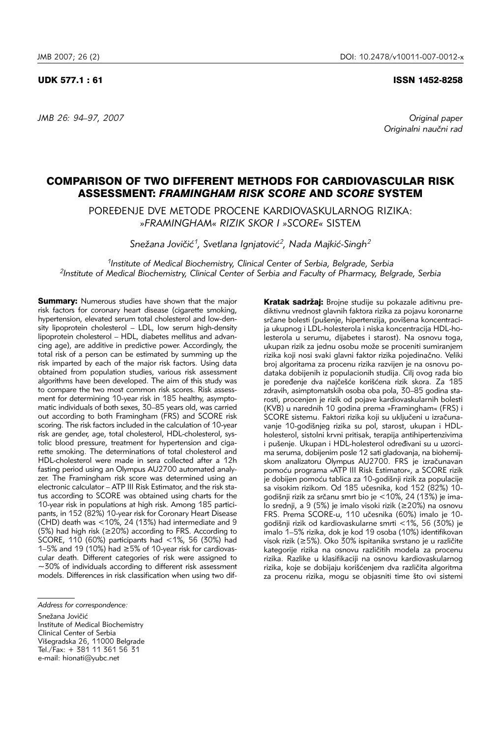*JMB 26: 94–97, 2007 Original paper* 

UDK 577.1 : 61 ISSN 1452-8258

Originalni naučni rad

# COMPARISON OF TWO DIFFERENT METHODS FOR CARDIOVASCULAR RISK ASSESSMENT: *FRAMINGHAM RISK SCORE* AND *SCORE* SYSTEM

POREĐENJE DVE METODE PROCENE KARDIOVASKULARNOG RIZIKA: *»FRAMINGHAM« RIZIK SKOR I »SCORE«* SISTEM

Snežana Jovičić<sup>1</sup>, Svetlana Ignjatović<sup>2</sup>, Nada Majkić-Singh<sup>2</sup>

*1Institute of Medical Biochemistry, Clinical Center of Serbia, Belgrade, Serbia 2Institute of Medical Biochemistry, Clinical Center of Serbia and Faculty of Pharmacy, Belgrade, Serbia*

**Summary:** Numerous studies have shown that the major risk factors for coronary heart disease (cigarette smoking, hypertension, elevated serum total cholesterol and low-density lipoprotein cholesterol – LDL, low serum high-density lipoprotein cholesterol – HDL, diabetes mellitus and advancing age), are additive in predictive power. Accordingly, the total risk of a person can be estimated by summing up the risk imparted by each of the major risk factors. Using data obtained from population studies, various risk assessment algorithms have been developed. The aim of this study was to compare the two most common risk scores. Risk assessment for determining 10-year risk in 185 healthy, asymptomatic individuals of both sexes, 30–85 years old, was carried out according to both Framingham (FRS) and SCORE risk scoring. The risk factors included in the calculation of 10-year risk are gender, age, total cholesterol, HDL-cholesterol, systolic blood pressure, treatment for hypertension and cigarette smoking. The determinations of total cholesterol and HDL-cholesterol were made in sera collected after a 12h fasting period using an Olympus AU2700 automated analyzer. The Framingham risk score was determined using an electronic calculator – ATP III Risk Estimator, and the risk status according to SCORE was obtained using charts for the 10-year risk in populations at high risk. Among 185 participants, in 152 (82%) 10-year risk for Coronary Heart Disease (CHD) death was <10%, 24 (13%) had intermediate and 9 (5%) had high risk (≥20%) according to FRS. According to SCORE, 110 (60%) participants had <1%, 56 (30%) had 1–5% and 19 (10%) had ≥5% of 10-year risk for cardiovascular death. Different categories of risk were assigned to ∼30% of individuals according to different risk assessment models. Differences in risk classification when using two difKratak sadržaj: Brojne studije su pokazale aditivnu prediktivnu vrednost glavnih faktora rizika za pojavu koronarne srčane bolesti (pušenje, hipertenzija, povišena koncentracija ukupnog i LDL-holesterola i niska koncentracija HDL-holesterola u serumu, dijabetes i starost). Na osnovu toga, ukupan rizik za jednu osobu može se proceniti sumiranjem rizika koji nosi svaki glavni faktor rizika pojedinačno. Veliki broj algoritama za procenu rizika razvijen je na osnovu podataka dobijenih iz populacionih studija. Cilj ovog rada bio je poređenje dva najčešće korišćena rizik skora. Za 185 zdravih, asimptomatskih osoba oba pola, 30–85 godina starosti, procenjen je rizik od pojave kardiovaskularnih bolesti (KVB) u narednih 10 godina prema »Framingham« (FRS) i SCORE sistemu. Faktori rizika koji su uključeni u izračunavanje 10-godišnjeg rizika su pol, starost, ukupan i HDLholesterol, sistolni krvni pritisak, terapija antihipertenzivima i pušenje. Ukupan i HDL-holesterol određivani su u uzorcima seruma, dobijenim posle 12 sati gladovanja, na biohemijskom analizatoru Olympus AU2700. FRS je izračunavan pomoću programa »ATP III Risk Estimator«, a SCORE rizik je dobijen pomoću tablica za 10-godišnji rizik za populacije sa visokim rizikom. Od 185 učesnika, kod 152 (82%) 10godišnji rizik za srčanu smrt bio je <10%, 24 (13%) je imalo srednji, a 9 (5%) je imalo visoki rizik (≥20%) na osnovu FRS. Prema SCORE-u, 110 učesnika (60%) imalo je 10godi{nji rizik od kardiovaskularne smrti <1%, 56 (30%) je imalo 1–5% rizika, dok je kod 19 osoba (10%) identifikovan visok rizik (≥5%). Oko 30% ispitanika svrstano je u različite kategorije rizika na osnovu različitih modela za procenu rizika. Razlike u klasifikaciji na osnovu kardiovaskularnog rizika, koje se dobijaju korišćenjem dva različita algoritma za procenu rizika, mogu se objasniti time što ovi sistemi

*Address for correspondence:* 

Snežana Jovičić Institute of Medical Biochemistry Clinical Center of Serbia Višegradska 26, 11000 Belgrade Tel./Fax: + 381 11 361 56 31 e-mail: hionati@yubc.net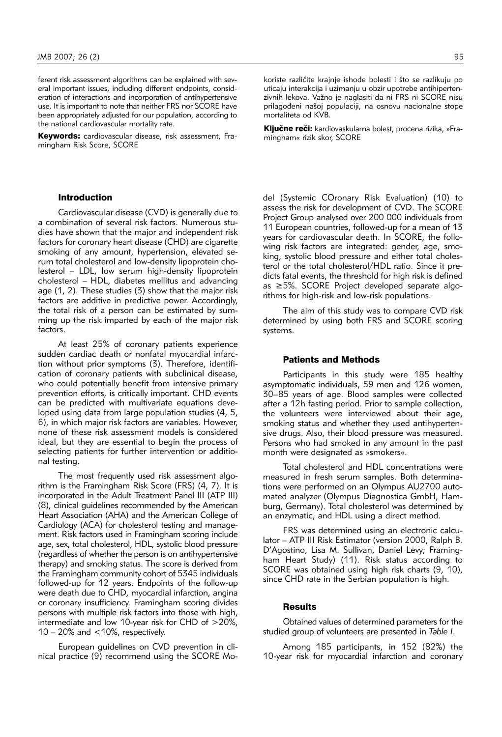ferent risk assessment algorithms can be explained with several important issues, including different endpoints, consideration of interactions and incorporation of antihypertensive use. It is important to note that neither FRS nor SCORE have been appropriately adjusted for our population, according to the national cardiovascular mortality rate.

Keywords: cardiovascular disease, risk assessment, Framingham Risk Score, SCORE

## Introduction

Cardiovascular disease (CVD) is generally due to a combination of several risk factors. Numerous studies have shown that the major and independent risk factors for coronary heart disease (CHD) are cigarette smoking of any amount, hypertension, elevated serum total cholesterol and low-density lipoprotein cholesterol – LDL, low serum high-density lipoprotein cholesterol – HDL, diabetes mellitus and advancing age (1, 2). These studies (3) show that the major risk factors are additive in predictive power. Accordingly, the total risk of a person can be estimated by summing up the risk imparted by each of the major risk factors.

At least 25% of coronary patients experience sudden cardiac death or nonfatal myocardial infarction without prior symptoms (3). Therefore, identification of coronary patients with subclinical disease, who could potentially benefit from intensive primary prevention efforts, is critically important. CHD events can be predicted with multivariate equations developed using data from large population studies (4, 5, 6), in which major risk factors are variables. However, none of these risk assessment models is considered ideal, but they are essential to begin the process of selecting patients for further intervention or additional testing.

The most frequently used risk assessment algorithm is the Framingham Risk Score (FRS) (4, 7). It is incorporated in the Adult Treatment Panel III (ATP III) (8), clinical guidelines recommended by the American Heart Association (AHA) and the American College of Cardiology (ACA) for cholesterol testing and management. Risk factors used in Framingham scoring include age, sex, total cholesterol, HDL, systolic blood pressure (regardless of whether the person is on antihypertensive therapy) and smoking status. The score is derived from the Framingham community cohort of 5345 individuals followed-up for 12 years. Endpoints of the follow-up were death due to CHD, myocardial infarction, angina or coronary insufficiency. Framingham scoring divides persons with multiple risk factors into those with high, intermediate and low 10-year risk for CHD of >20%, 10 – 20% and <10%, respectively.

European guidelines on CVD prevention in clinical practice (9) recommend using the SCORE Mokoriste različite krajnje ishode bolesti i što se razlikuju po uticaju interakcija i uzimanju u obzir upotrebe antihipertenzivnih lekova. Važno je naglasiti da ni FRS ni SCORE nisu prilagođeni našoj populaciji, na osnovu nacionalne stope mortaliteta od KVB.

Ključne reči: kardiovaskularna bolest, procena rizika, »Framingham« rizik skor, SCORE

del (Systemic COronary Risk Evaluation) (10) to assess the risk for development of CVD. The SCORE Project Group analysed over 200 000 individuals from 11 European countries, followed-up for a mean of 13 years for cardiovascular death. In SCORE, the following risk factors are integrated: gender, age, smoking, systolic blood pressure and either total cholesterol or the total cholesterol/HDL ratio. Since it predicts fatal events, the threshold for high risk is defined as ≥5%. SCORE Project developed separate algorithms for high-risk and low-risk populations.

The aim of this study was to compare CVD risk determined by using both FRS and SCORE scoring systems.

### Patients and Methods

Participants in this study were 185 healthy asymptomatic individuals, 59 men and 126 women, 30–85 years of age. Blood samples were collected after a 12h fasting period. Prior to sample collection, the volunteers were interviewed about their age, smoking status and whether they used antihypertensive drugs. Also, their blood pressure was measured. Persons who had smoked in any amount in the past month were designated as »smokers«.

Total cholesterol and HDL concentrations were measured in fresh serum samples. Both determinations were performed on an Olympus AU2700 automated analyzer (Olympus Diagnostica GmbH, Hamburg, Germany). Total cholesterol was determined by an enzymatic, and HDL using a direct method.

FRS was determined using an electronic calculator – ATP III Risk Estimator (version 2000, Ralph B. D'Agostino, Lisa M. Sullivan, Daniel Levy; Framingham Heart Study) (11). Risk status according to SCORE was obtained using high risk charts (9, 10), since CHD rate in the Serbian population is high.

#### **Results**

Obtained values of determined parameters for the studied group of volunteers are presented in *Table I*.

Among 185 participants, in 152 (82%) the 10-year risk for myocardial infarction and coronary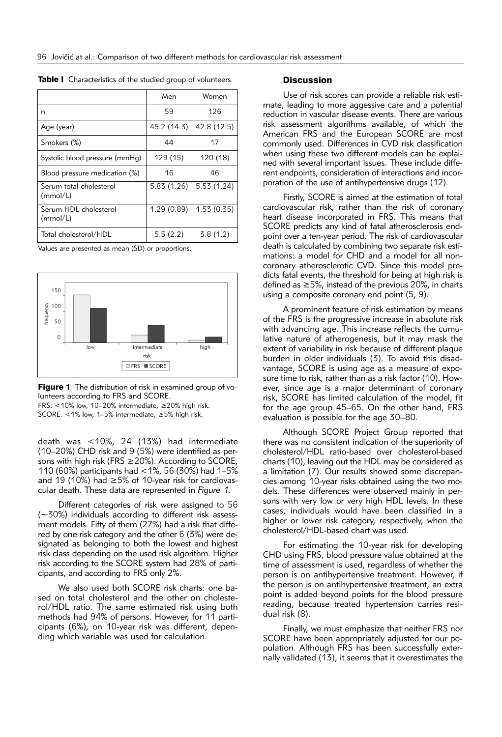|                                     | Men         | Women       |
|-------------------------------------|-------------|-------------|
| n                                   | 59          | 126         |
| Age (year)                          | 45.2 (14.3) | 42.8 (12.5) |
| Smokers (%)                         | 44          | 17          |
| Systolic blood pressure (mmHg)      | 129 (15)    | 120 (18)    |
| Blood pressure medication (%)       | 16          | 46          |
| Serum total cholesterol<br>(mmol/L) | 5.83 (1.26) | 5.53(1.24)  |
| Serum HDL cholesterol<br>(mmol/L)   | 1.29(0.89)  | 1.53(0.35)  |
| Total cholesterol/HDL               | 5.5(2.2)    | 3.8(1.2)    |

Table I Characteristics of the studied group of volunteers.

Values are presented as mean (SD) or proportions.



Figure 1 The distribution of risk in examined group of volunteers according to FRS and SCORE.

FRS: <10% low, 10–20% intermediate, ≥20% high risk. SCORE: <1% low, 1–5% intermediate, ≥5% high risk.

death was <10%, 24 (13%) had intermediate (10–20%) CHD risk and 9 (5%) were identified as persons with high risk (FRS ≥20%). According to SCORE, 110 (60%) participants had <1%, 56 (30%) had 1–5% and 19 (10%) had ≥5% of 10-year risk for cardiovascular death. These data are represented in *Figure 1*.

Different categories of risk were assigned to 56 (∼30%) individuals according to different risk assessment models. Fifty of them (27%) had a risk that differed by one risk category and the other 6 (3%) were designated as belonging to both the lowest and highest risk class depending on the used risk algorithm. Higher risk according to the SCORE system had 28% of participants, and according to FRS only 2%.

We also used both SCORE risk charts: one based on total cholesterol and the other on cholesterol/HDL ratio. The same estimated risk using both methods had 94% of persons. However, for 11 participants (6%), on 10-year risk was different, depending which variable was used for calculation.

### **Discussion**

Use of risk scores can provide a reliable risk estimate, leading to more aggessive care and a potential reduction in vascular disease events. There are various risk assessment algorithms available, of which the American FRS and the European SCORE are most commonly used. Differences in CVD risk classification when using these two different models can be explained with several important issues. These include different endpoints, consideration of interactions and incorporation of the use of antihypertensive drugs (12).

Firstly, SCORE is aimed at the estimation of total cardiovascular risk, rather than the risk of coronary heart disease incorporated in FRS. This means that SCORE predicts any kind of fatal atherosclerosis endpoint over a ten-year period. The risk of cardiovascular death is calculated by combining two separate risk estimations: a model for CHD and a model for all noncoronary atherosclerotic CVD. Since this model predicts fatal events, the threshold for being at high risk is defined as  $\geq$  5%, instead of the previous 20%, in charts using a composite coronary end point (5, 9).

A prominent feature of risk estimation by means of the FRS is the progressive increase in absolute risk with advancing age. This increase reflects the cumulative nature of atherogenesis, but it may mask the extent of variability in risk because of different plaque burden in older individuals (3). To avoid this disadvantage, SCORE is using age as a measure of exposure time to risk, rather than as a risk factor (10). However, since age is a major determinant of coronary risk, SCORE has limited calculation of the model, fit for the age group 45–65. On the other hand, FRS evaluation is possible for the age 30–80.

Although SCORE Project Group reported that there was no consistent indication of the superiority of cholesterol/HDL ratio-based over cholesterol-based charts (10), leaving out the HDL may be considered as a limitation (7). Our results showed some discrepancies among 10-year risks obtained using the two models. These differences were observed mainly in persons with very low or very high HDL levels. In these cases, individuals would have been classified in a higher or lower risk category, respectively, when the cholesterol/HDL-based chart was used.

For estimating the 10-year risk for developing CHD using FRS, blood pressure value obtained at the time of assessment is used, regardless of whether the person is on antihypertensive treatment. However, if the person is on antihypertensive treatment, an extra point is added beyond points for the blood pressure reading, because treated hypertension carries residual risk (8).

Finally, we must emphasize that neither FRS nor SCORE have been appropriately adjusted for our population. Although FRS has been successfully externally validated (13), it seems that it overestimates the